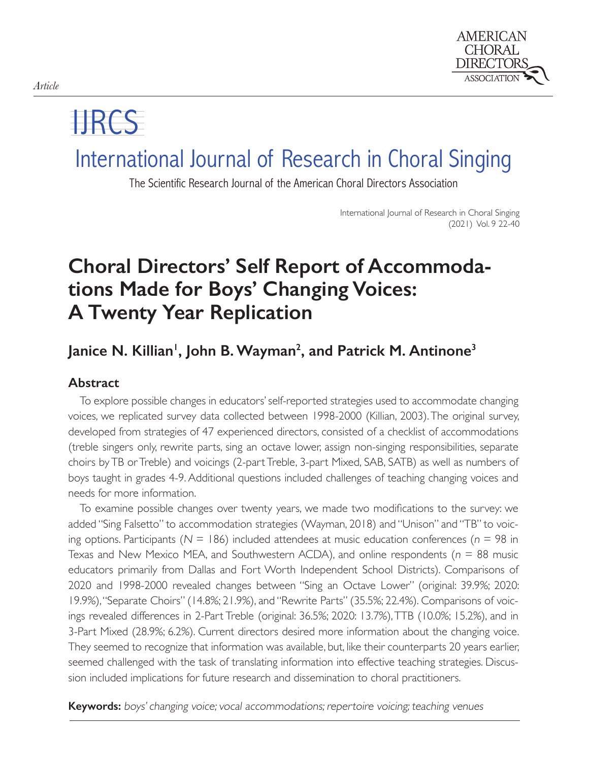

# IJRCS

## International Journal of Research in Choral Singing

The Scientific Research Journal of the American Choral Directors Association

International Journal of Research in Choral Singing (2021) Vol. 9 22-40

### **Choral Directors' Self Report of Accommodations Made for Boys' Changing Voices: A Twenty Year Replication**

### Janice N. Killian<sup>1</sup>, John B. Wayman<sup>2</sup>, and Patrick M. Antinone<sup>3</sup>

#### **Abstract**

To explore possible changes in educators' self-reported strategies used to accommodate changing voices, we replicated survey data collected between 1998-2000 (Killian, 2003). The original survey, developed from strategies of 47 experienced directors, consisted of a checklist of accommodations (treble singers only, rewrite parts, sing an octave lower, assign non-singing responsibilities, separate choirs by TB or Treble) and voicings (2-part Treble, 3-part Mixed, SAB, SATB) as well as numbers of boys taught in grades 4-9. Additional questions included challenges of teaching changing voices and needs for more information.

To examine possible changes over twenty years, we made two modifications to the survey: we added "Sing Falsetto" to accommodation strategies (Wayman, 2018) and "Unison" and "TB" to voicing options. Participants ( $N = 186$ ) included attendees at music education conferences ( $n = 98$  in Texas and New Mexico MEA, and Southwestern ACDA), and online respondents ( $n = 88$  music educators primarily from Dallas and Fort Worth Independent School Districts). Comparisons of 2020 and 1998-2000 revealed changes between "Sing an Octave Lower" (original: 39.9%; 2020: 19.9%), "Separate Choirs" (14.8%; 21.9%), and "Rewrite Parts" (35.5%; 22.4%). Comparisons of voicings revealed differences in 2-Part Treble (original: 36.5%; 2020: 13.7%), TTB (10.0%; 15.2%), and in 3-Part Mixed (28.9%; 6.2%). Current directors desired more information about the changing voice. They seemed to recognize that information was available, but, like their counterparts 20 years earlier, seemed challenged with the task of translating information into effective teaching strategies. Discussion included implications for future research and dissemination to choral practitioners.

**Keywords:** boys' changing voice; vocal accommodations; repertoire voicing; teaching venues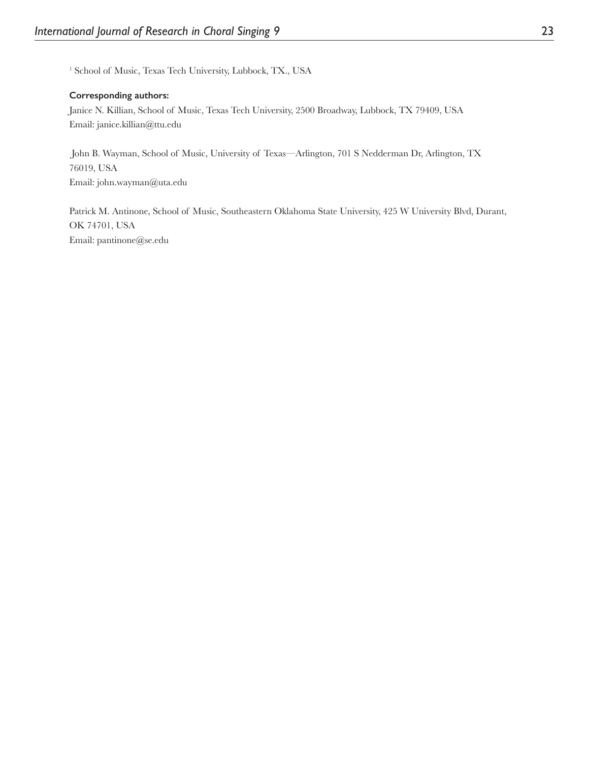<sup>1</sup> School of Music, Texas Tech University, Lubbock, TX., USA

#### **Corresponding authors:**

Janice N. Killian, School of Music, Texas Tech University, 2500 Broadway, Lubbock, TX 79409, USA Email: janice.killian@ttu.edu

 John B. Wayman, School of Music, University of Texas—Arlington, 701 S Nedderman Dr, Arlington, TX 76019, USA Email: john.wayman@uta.edu

Patrick M. Antinone, School of Music, Southeastern Oklahoma State University, 425 W University Blvd, Durant, OK 74701, USA Email: pantinone@se.edu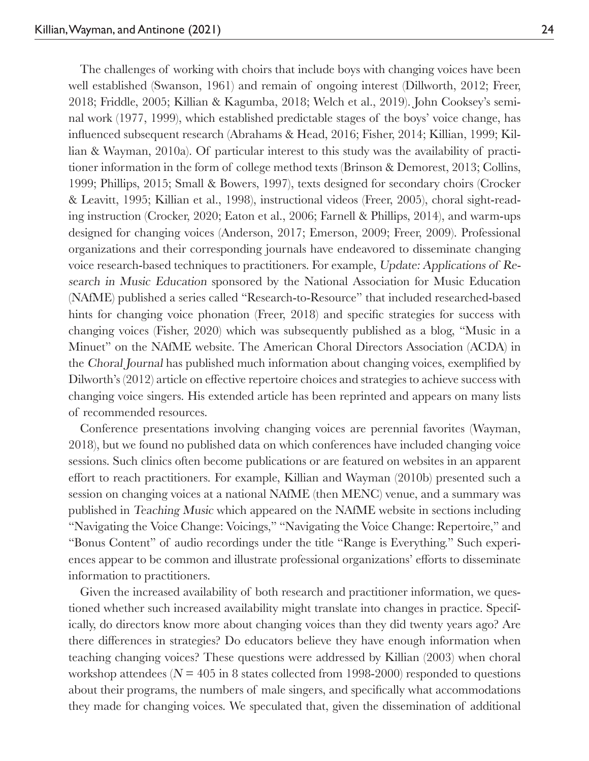The challenges of working with choirs that include boys with changing voices have been well established (Swanson, 1961) and remain of ongoing interest (Dillworth, 2012; Freer, 2018; Friddle, 2005; Killian & Kagumba, 2018; Welch et al., 2019). John Cooksey's seminal work (1977, 1999), which established predictable stages of the boys' voice change, has influenced subsequent research (Abrahams & Head, 2016; Fisher, 2014; Killian, 1999; Killian & Wayman, 2010a). Of particular interest to this study was the availability of practitioner information in the form of college method texts (Brinson & Demorest, 2013; Collins, 1999; Phillips, 2015; Small & Bowers, 1997), texts designed for secondary choirs (Crocker & Leavitt, 1995; Killian et al., 1998), instructional videos (Freer, 2005), choral sight-reading instruction (Crocker, 2020; Eaton et al., 2006; Farnell & Phillips, 2014), and warm-ups designed for changing voices (Anderson, 2017; Emerson, 2009; Freer, 2009). Professional organizations and their corresponding journals have endeavored to disseminate changing voice research-based techniques to practitioners. For example, Update: Applications of Research in Music Education sponsored by the National Association for Music Education (NAfME) published a series called "Research-to-Resource" that included researched-based hints for changing voice phonation (Freer, 2018) and specific strategies for success with changing voices (Fisher, 2020) which was subsequently published as a blog, "Music in a Minuet" on the NAfME website. The American Choral Directors Association (ACDA) in the Choral Journal has published much information about changing voices, exemplified by Dilworth's (2012) article on effective repertoire choices and strategies to achieve success with changing voice singers. His extended article has been reprinted and appears on many lists of recommended resources.

Conference presentations involving changing voices are perennial favorites (Wayman, 2018), but we found no published data on which conferences have included changing voice sessions. Such clinics often become publications or are featured on websites in an apparent effort to reach practitioners. For example, Killian and Wayman (2010b) presented such a session on changing voices at a national NAfME (then MENC) venue, and a summary was published in Teaching Music which appeared on the NAfME website in sections including "Navigating the Voice Change: Voicings," "Navigating the Voice Change: Repertoire," and "Bonus Content" of audio recordings under the title "Range is Everything." Such experiences appear to be common and illustrate professional organizations' efforts to disseminate information to practitioners.

Given the increased availability of both research and practitioner information, we questioned whether such increased availability might translate into changes in practice. Specifically, do directors know more about changing voices than they did twenty years ago? Are there differences in strategies? Do educators believe they have enough information when teaching changing voices? These questions were addressed by Killian (2003) when choral workshop attendees ( $N = 405$  in 8 states collected from 1998-2000) responded to questions about their programs, the numbers of male singers, and specifically what accommodations they made for changing voices. We speculated that, given the dissemination of additional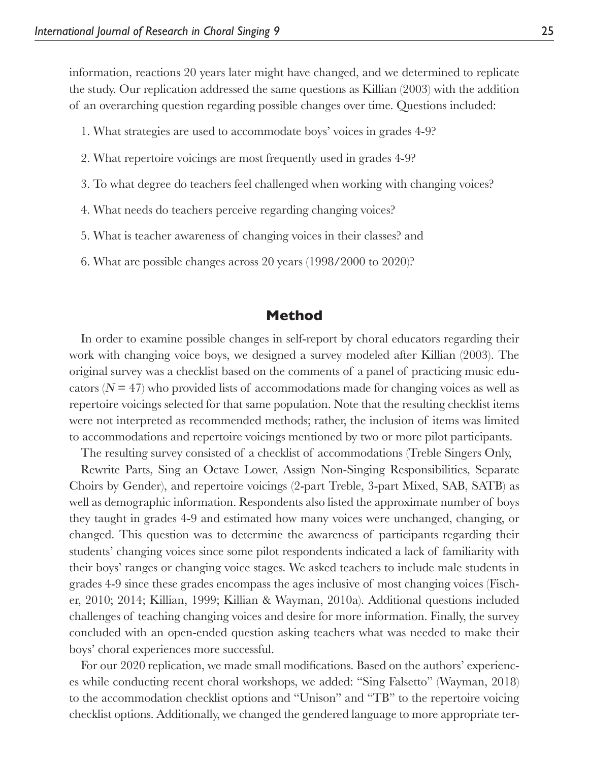information, reactions 20 years later might have changed, and we determined to replicate the study. Our replication addressed the same questions as Killian (2003) with the addition of an overarching question regarding possible changes over time. Questions included:

- 1. What strategies are used to accommodate boys' voices in grades 4-9?
- 2. What repertoire voicings are most frequently used in grades 4-9?
- 3. To what degree do teachers feel challenged when working with changing voices?
- 4. What needs do teachers perceive regarding changing voices?
- 5. What is teacher awareness of changing voices in their classes? and
- 6. What are possible changes across 20 years (1998/2000 to 2020)?

#### **Method**

In order to examine possible changes in self-report by choral educators regarding their work with changing voice boys, we designed a survey modeled after Killian (2003). The original survey was a checklist based on the comments of a panel of practicing music educators  $(N = 47)$  who provided lists of accommodations made for changing voices as well as repertoire voicings selected for that same population. Note that the resulting checklist items were not interpreted as recommended methods; rather, the inclusion of items was limited to accommodations and repertoire voicings mentioned by two or more pilot participants.

The resulting survey consisted of a checklist of accommodations (Treble Singers Only,

Rewrite Parts, Sing an Octave Lower, Assign Non-Singing Responsibilities, Separate Choirs by Gender), and repertoire voicings (2-part Treble, 3-part Mixed, SAB, SATB) as well as demographic information. Respondents also listed the approximate number of boys they taught in grades 4-9 and estimated how many voices were unchanged, changing, or changed. This question was to determine the awareness of participants regarding their students' changing voices since some pilot respondents indicated a lack of familiarity with their boys' ranges or changing voice stages. We asked teachers to include male students in grades 4-9 since these grades encompass the ages inclusive of most changing voices (Fischer, 2010; 2014; Killian, 1999; Killian & Wayman, 2010a). Additional questions included challenges of teaching changing voices and desire for more information. Finally, the survey concluded with an open-ended question asking teachers what was needed to make their boys' choral experiences more successful.

For our 2020 replication, we made small modifications. Based on the authors' experiences while conducting recent choral workshops, we added: "Sing Falsetto" (Wayman, 2018) to the accommodation checklist options and "Unison" and "TB" to the repertoire voicing checklist options. Additionally, we changed the gendered language to more appropriate ter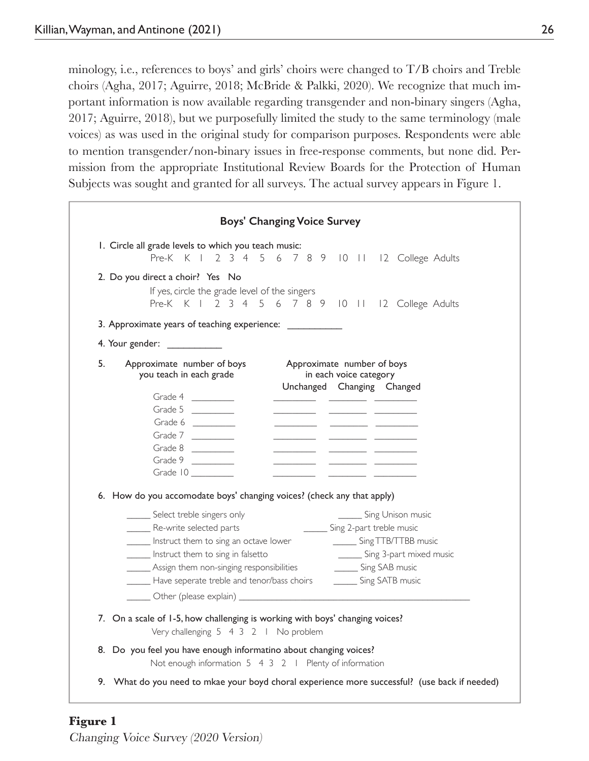minology, i.e., references to boys' and girls' choirs were changed to T/B choirs and Treble choirs (Agha, 2017; Aguirre, 2018; McBride & Palkki, 2020). We recognize that much important information is now available regarding transgender and non-binary singers (Agha, 2017; Aguirre, 2018), but we purposefully limited the study to the same terminology (male voices) as was used in the original study for comparison purposes. Respondents were able to mention transgender/non-binary issues in free-response comments, but none did. Permission from the appropriate Institutional Review Boards for the Protection of Human Subjects was sought and granted for all surveys. The actual survey appears in Figure 1.

|    | 1. Circle all grade levels to which you teach music:<br>Pre-K K I 2 3 4 5 6 7 8 9 10 11 12 College Adults                                                                                                                                                                                                                                                                                                                                                                                                                                                                                                                                                                                                                                                                                                                                                                                                                                                                                                                                                                                                                                                                |
|----|--------------------------------------------------------------------------------------------------------------------------------------------------------------------------------------------------------------------------------------------------------------------------------------------------------------------------------------------------------------------------------------------------------------------------------------------------------------------------------------------------------------------------------------------------------------------------------------------------------------------------------------------------------------------------------------------------------------------------------------------------------------------------------------------------------------------------------------------------------------------------------------------------------------------------------------------------------------------------------------------------------------------------------------------------------------------------------------------------------------------------------------------------------------------------|
|    | 2. Do you direct a choir? Yes No<br>If yes, circle the grade level of the singers<br>Pre-K K I 2 3 4 5 6 7 8 9 10 11 12 College Adults                                                                                                                                                                                                                                                                                                                                                                                                                                                                                                                                                                                                                                                                                                                                                                                                                                                                                                                                                                                                                                   |
|    | 3. Approximate years of teaching experience: _____________                                                                                                                                                                                                                                                                                                                                                                                                                                                                                                                                                                                                                                                                                                                                                                                                                                                                                                                                                                                                                                                                                                               |
|    | 4. Your gender: ____________                                                                                                                                                                                                                                                                                                                                                                                                                                                                                                                                                                                                                                                                                                                                                                                                                                                                                                                                                                                                                                                                                                                                             |
| 5. | Approximate number of boys<br>Approximate number of boys<br>you teach in each grade<br>in each voice category<br>Unchanged Changing Changed<br>Grade 4<br>Grade 5 $\frac{1}{2}$<br>Grade $6 \t$<br><u>and the company of the company of the company of the company of the company of the company of the company of the company of the company of the company of the company of the company of the company of the company of the com</u><br><u> Alexandria (alexandria)</u><br>Grade 7 $\frac{1}{2}$<br><u> Alexandro de Alexandro de Alexandro de Alexandro de Alexandro de Alexandro de Alexandro de Alexandro de Alex</u><br><u> The Communication</u><br>Grade $8$<br>$\frac{1}{2} \left( \frac{1}{2} \frac{1}{2} \frac{1}{2} \frac{1}{2} \frac{1}{2} \frac{1}{2} \frac{1}{2} \frac{1}{2} \frac{1}{2} \frac{1}{2} \frac{1}{2} \frac{1}{2} \frac{1}{2} \frac{1}{2} \frac{1}{2} \frac{1}{2} \frac{1}{2} \frac{1}{2} \frac{1}{2} \frac{1}{2} \frac{1}{2} \frac{1}{2} \frac{1}{2} \frac{1}{2} \frac{1}{2} \frac{1}{2} \frac{1}{2} \frac{1}{2} \frac{1}{2} \frac{1}{2}$<br>Grade 9 $\frac{1}{2}$<br>6. How do you accomodate boys' changing voices? (check any that apply) |
|    | ______ Select treble singers only<br>_______ Sing Unison music<br>Re-write selected parts<br>_______ Sing 2-part treble music<br>Sing 3-part mixed music<br>Instruct them to sing in falsetto<br>_______ Assign them non-singing responsibilities _______________ Sing SAB music<br>Have seperate treble and tenor/bass choirs _________ Sing SATB music                                                                                                                                                                                                                                                                                                                                                                                                                                                                                                                                                                                                                                                                                                                                                                                                                 |
|    | 7. On a scale of 1-5, how challenging is working with boys' changing voices?<br>Very challenging 5 4 3 2   No problem                                                                                                                                                                                                                                                                                                                                                                                                                                                                                                                                                                                                                                                                                                                                                                                                                                                                                                                                                                                                                                                    |
|    | 8. Do you feel you have enough informatino about changing voices?                                                                                                                                                                                                                                                                                                                                                                                                                                                                                                                                                                                                                                                                                                                                                                                                                                                                                                                                                                                                                                                                                                        |

**Figure 1** Changing Voice Survey (2020 Version)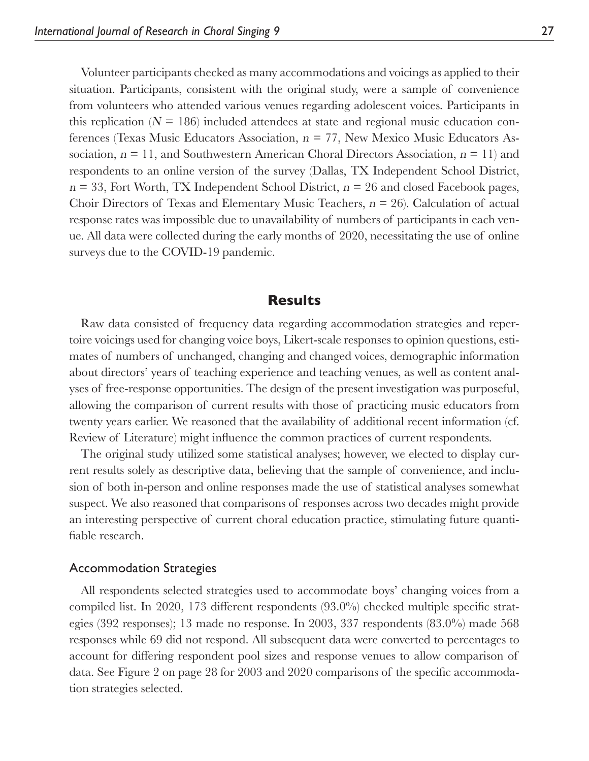Volunteer participants checked as many accommodations and voicings as applied to their situation. Participants, consistent with the original study, were a sample of convenience from volunteers who attended various venues regarding adolescent voices. Participants in this replication  $(N = 186)$  included attendees at state and regional music education conferences (Texas Music Educators Association,  $n = 77$ , New Mexico Music Educators Association,  $n = 11$ , and Southwestern American Choral Directors Association,  $n = 11$ ) and respondents to an online version of the survey (Dallas, TX Independent School District,  $n = 33$ , Fort Worth, TX Independent School District,  $n = 26$  and closed Facebook pages, Choir Directors of Texas and Elementary Music Teachers,  $n = 26$ ). Calculation of actual response rates was impossible due to unavailability of numbers of participants in each venue. All data were collected during the early months of 2020, necessitating the use of online surveys due to the COVID-19 pandemic.

#### **Results**

Raw data consisted of frequency data regarding accommodation strategies and repertoire voicings used for changing voice boys, Likert-scale responses to opinion questions, estimates of numbers of unchanged, changing and changed voices, demographic information about directors' years of teaching experience and teaching venues, as well as content analyses of free-response opportunities. The design of the present investigation was purposeful, allowing the comparison of current results with those of practicing music educators from twenty years earlier. We reasoned that the availability of additional recent information (cf. Review of Literature) might influence the common practices of current respondents.

The original study utilized some statistical analyses; however, we elected to display current results solely as descriptive data, believing that the sample of convenience, and inclusion of both in-person and online responses made the use of statistical analyses somewhat suspect. We also reasoned that comparisons of responses across two decades might provide an interesting perspective of current choral education practice, stimulating future quantifiable research.

#### Accommodation Strategies

All respondents selected strategies used to accommodate boys' changing voices from a compiled list. In 2020, 173 different respondents  $(93.0\%)$  checked multiple specific strategies (392 responses); 13 made no response. In 2003, 337 respondents (83.0%) made 568 responses while 69 did not respond. All subsequent data were converted to percentages to account for differing respondent pool sizes and response venues to allow comparison of data. See Figure 2 on page 28 for 2003 and 2020 comparisons of the specific accommodation strategies selected.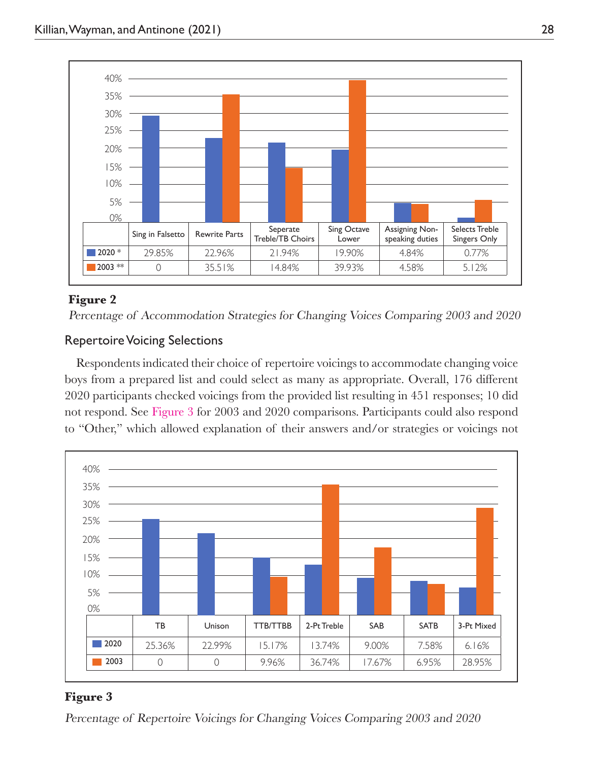

#### **Figure 2**

Percentage of Accommodation Strategies for Changing Voices Comparing 2003 and 2020

#### Repertoire Voicing Selections

Respondents indicated their choice of repertoire voicings to accommodate changing voice boys from a prepared list and could select as many as appropriate. Overall, 176 different 2020 participants checked voicings from the provided list resulting in 451 responses; 10 did not respond. See Figure 3 for 2003 and 2020 comparisons. Participants could also respond to "Other," which allowed explanation of their answers and/or strategies or voicings not



#### **Figure 3**

Percentage of Repertoire Voicings for Changing Voices Comparing 2003 and 2020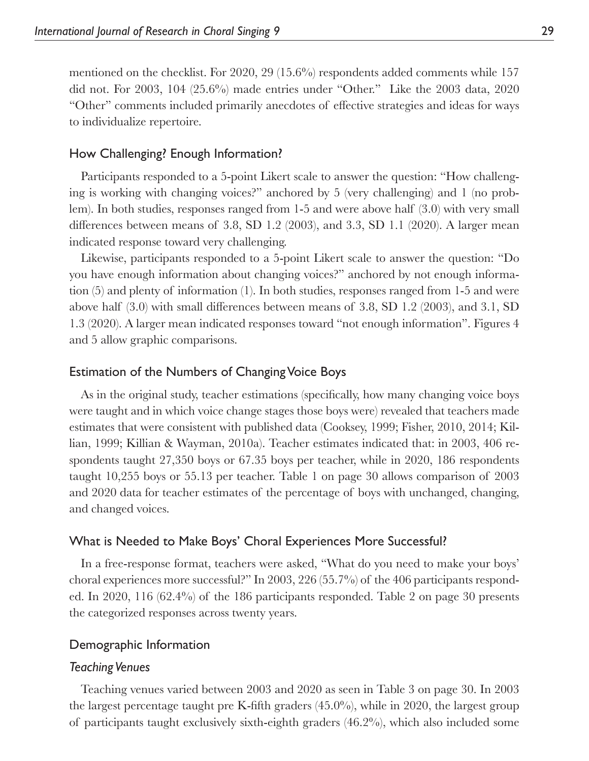mentioned on the checklist. For 2020, 29 (15.6%) respondents added comments while 157 did not. For 2003, 104 (25.6%) made entries under "Other." Like the 2003 data, 2020 "Other" comments included primarily anecdotes of effective strategies and ideas for ways to individualize repertoire.

#### How Challenging? Enough Information?

Participants responded to a 5-point Likert scale to answer the question: "How challenging is working with changing voices?" anchored by 5 (very challenging) and 1 (no problem). In both studies, responses ranged from 1-5 and were above half (3.0) with very small differences between means of 3.8, SD 1.2  $(2003)$ , and 3.3, SD 1.1  $(2020)$ . A larger mean indicated response toward very challenging.

Likewise, participants responded to a 5-point Likert scale to answer the question: "Do you have enough information about changing voices?" anchored by not enough information (5) and plenty of information (1). In both studies, responses ranged from 1-5 and were above half  $(3.0)$  with small differences between means of 3.8, SD 1.2  $(2003)$ , and 3.1, SD 1.3 (2020). A larger mean indicated responses toward "not enough information". Figures 4 and 5 allow graphic comparisons.

#### Estimation of the Numbers of Changing Voice Boys

As in the original study, teacher estimations (specifically, how many changing voice boys were taught and in which voice change stages those boys were) revealed that teachers made estimates that were consistent with published data (Cooksey, 1999; Fisher, 2010, 2014; Killian, 1999; Killian & Wayman, 2010a). Teacher estimates indicated that: in 2003, 406 respondents taught 27,350 boys or 67.35 boys per teacher, while in 2020, 186 respondents taught 10,255 boys or 55.13 per teacher. Table 1 on page 30 allows comparison of 2003 and 2020 data for teacher estimates of the percentage of boys with unchanged, changing, and changed voices.

#### What is Needed to Make Boys' Choral Experiences More Successful?

In a free-response format, teachers were asked, "What do you need to make your boys' choral experiences more successful?" In 2003, 226 (55.7%) of the 406 participants responded. In 2020, 116 (62.4%) of the 186 participants responded. Table 2 on page 30 presents the categorized responses across twenty years.

#### Demographic Information

#### *Teaching Venues*

Teaching venues varied between 2003 and 2020 as seen in Table 3 on page 30. In 2003 the largest percentage taught pre K-fifth graders  $(45.0\%)$ , while in 2020, the largest group of participants taught exclusively sixth-eighth graders (46.2%), which also included some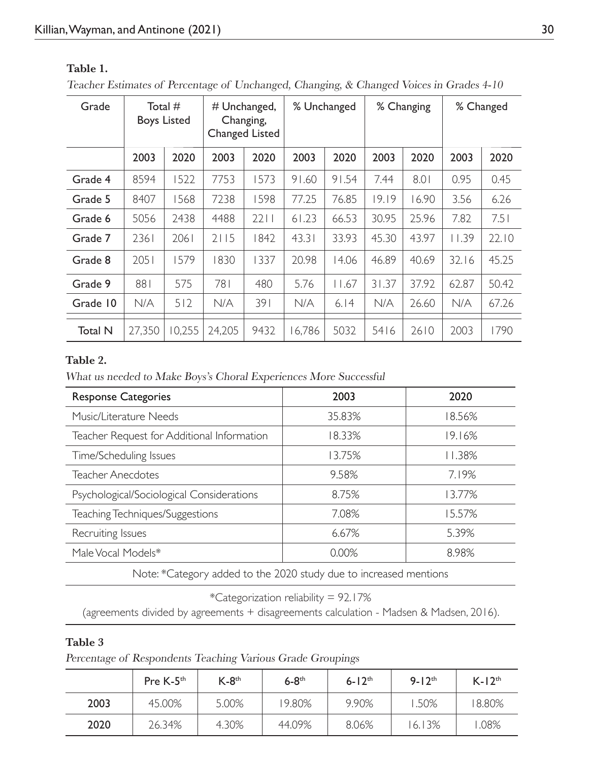| Grade          | Total #<br><b>Boys Listed</b> |        | # Unchanged,<br>Changing,<br><b>Changed Listed</b> |      | % Unchanged |       | % Changing |       | % Changed |       |
|----------------|-------------------------------|--------|----------------------------------------------------|------|-------------|-------|------------|-------|-----------|-------|
|                | 2003                          | 2020   | 2003                                               | 2020 | 2003        | 2020  | 2003       | 2020  | 2003      | 2020  |
| Grade 4        | 8594                          | 1522   | 7753                                               | 1573 | 91.60       | 91.54 | 7.44       | 8.01  | 0.95      | 0.45  |
| Grade 5        | 8407                          | 1568   | 7238                                               | 1598 | 77.25       | 76.85 | 19.19      | 16.90 | 3.56      | 6.26  |
| Grade 6        | 5056                          | 2438   | 4488                                               | 2211 | 61.23       | 66.53 | 30.95      | 25.96 | 7.82      | 7.51  |
| Grade 7        | 2361                          | 2061   | 2115                                               | 1842 | 43.31       | 33.93 | 45.30      | 43.97 | 11.39     | 22.10 |
| Grade 8        | 2051                          | 1579   | 1830                                               | 337  | 20.98       | 14.06 | 46.89      | 40.69 | 32.16     | 45.25 |
| Grade 9        | 881                           | 575    | 781                                                | 480  | 5.76        | 11.67 | 31.37      | 37.92 | 62.87     | 50.42 |
| Grade 10       | N/A                           | 512    | N/A                                                | 391  | N/A         | 6.14  | N/A        | 26.60 | N/A       | 67.26 |
| <b>Total N</b> | 27,350                        | 10,255 | 24,205                                             | 9432 | 16,786      | 5032  | 5416       | 2610  | 2003      | 1790  |

#### **Table 1.**

Teacher Estimates of Percentage of Unchanged, Changing, & Changed Voices in Grades 4-10

#### **Table 2.**

What us needed to Make Boys's Choral Experiences More Successful

| 2003   | 2020   |  |  |
|--------|--------|--|--|
| 35.83% | 18.56% |  |  |
| 18.33% | 19.16% |  |  |
| 13.75% | 11.38% |  |  |
| 9.58%  | 7.19%  |  |  |
| 8.75%  | 3.77%  |  |  |
| 7.08%  | 15.57% |  |  |
| 6.67%  | 5.39%  |  |  |
| 0.00%  | 8.98%  |  |  |
|        |        |  |  |

Note: \*Category added to the 2020 study due to increased mentions

\*Categorization reliability = 92.17%

(agreements divided by agreements + disagreements calculation - Madsen & Madsen, 2016).

#### **Table 3**

Percentage of Respondents Teaching Various Grade Groupings

|      | Pre K-5 <sup>th</sup> | $K-8$ <sup>th</sup> | $6-8$ <sup>th</sup> | $6 - 12$ <sup>th</sup> | $9 - 12$ <sup>th</sup> | $K-12th$ |
|------|-----------------------|---------------------|---------------------|------------------------|------------------------|----------|
| 2003 | 45.00%                | 5.00%               | 19.80%              | 9.90%                  | .50%                   | 18.80%   |
| 2020 | 26.34%                | 4.30%               | 44.09%              | 8.06%                  | 6.13%                  | .08%     |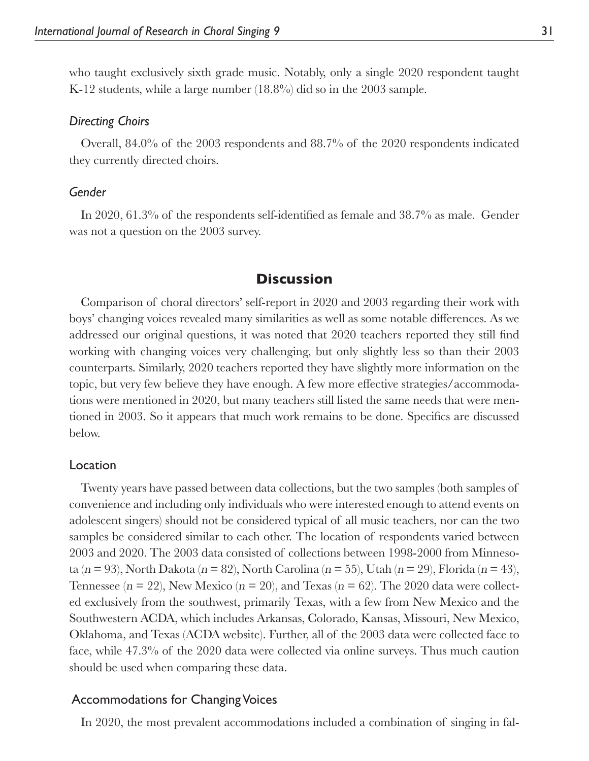who taught exclusively sixth grade music. Notably, only a single 2020 respondent taught K-12 students, while a large number (18.8%) did so in the 2003 sample.

#### *Directing Choirs*

Overall, 84.0% of the 2003 respondents and 88.7% of the 2020 respondents indicated they currently directed choirs.

#### *Gender*

In 2020,  $61.3\%$  of the respondents self-identified as female and  $38.7\%$  as male. Gender was not a question on the 2003 survey.

#### **Discussion**

Comparison of choral directors' self-report in 2020 and 2003 regarding their work with boys' changing voices revealed many similarities as well as some notable differences. As we addressed our original questions, it was noted that 2020 teachers reported they still find working with changing voices very challenging, but only slightly less so than their 2003 counterparts. Similarly, 2020 teachers reported they have slightly more information on the topic, but very few believe they have enough. A few more effective strategies/accommodations were mentioned in 2020, but many teachers still listed the same needs that were mentioned in 2003. So it appears that much work remains to be done. Specifics are discussed below.

#### Location

Twenty years have passed between data collections, but the two samples (both samples of convenience and including only individuals who were interested enough to attend events on adolescent singers) should not be considered typical of all music teachers, nor can the two samples be considered similar to each other. The location of respondents varied between 2003 and 2020. The 2003 data consisted of collections between 1998-2000 from Minnesota (n = 93), North Dakota (n = 82), North Carolina (n = 55), Utah (n = 29), Florida (n = 43), Tennessee ( $n = 22$ ), New Mexico ( $n = 20$ ), and Texas ( $n = 62$ ). The 2020 data were collected exclusively from the southwest, primarily Texas, with a few from New Mexico and the Southwestern ACDA, which includes Arkansas, Colorado, Kansas, Missouri, New Mexico, Oklahoma, and Texas (ACDA website). Further, all of the 2003 data were collected face to face, while 47.3% of the 2020 data were collected via online surveys. Thus much caution should be used when comparing these data.

#### Accommodations for Changing Voices

In 2020, the most prevalent accommodations included a combination of singing in fal-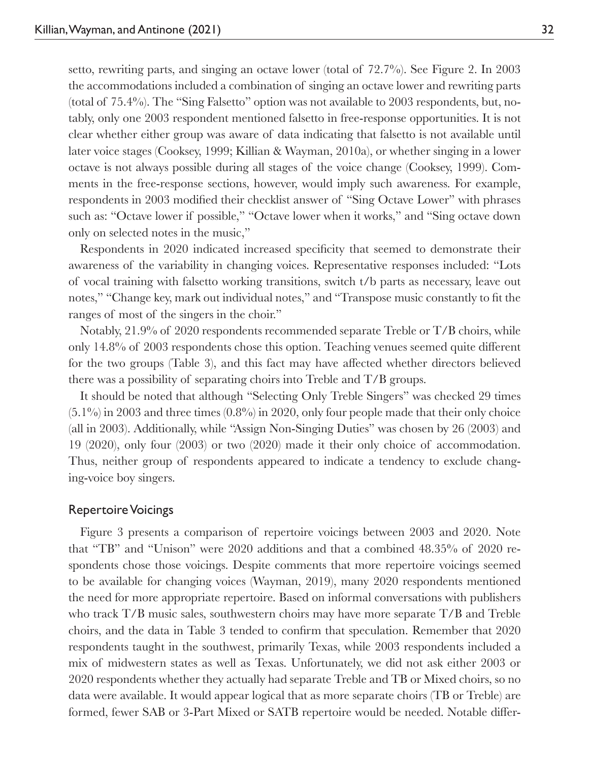setto, rewriting parts, and singing an octave lower (total of 72.7%). See Figure 2. In 2003 the accommodations included a combination of singing an octave lower and rewriting parts (total of 75.4%). The "Sing Falsetto" option was not available to 2003 respondents, but, notably, only one 2003 respondent mentioned falsetto in free-response opportunities. It is not clear whether either group was aware of data indicating that falsetto is not available until later voice stages (Cooksey, 1999; Killian & Wayman, 2010a), or whether singing in a lower octave is not always possible during all stages of the voice change (Cooksey, 1999). Comments in the free-response sections, however, would imply such awareness. For example, respondents in 2003 modified their checklist answer of "Sing Octave Lower" with phrases such as: "Octave lower if possible," "Octave lower when it works," and "Sing octave down only on selected notes in the music,"

Respondents in 2020 indicated increased specificity that seemed to demonstrate their awareness of the variability in changing voices. Representative responses included: "Lots of vocal training with falsetto working transitions, switch t/b parts as necessary, leave out notes," "Change key, mark out individual notes," and "Transpose music constantly to fit the ranges of most of the singers in the choir."

Notably, 21.9% of 2020 respondents recommended separate Treble or T/B choirs, while only 14.8% of 2003 respondents chose this option. Teaching venues seemed quite different for the two groups (Table 3), and this fact may have affected whether directors believed there was a possibility of separating choirs into Treble and T/B groups.

It should be noted that although "Selecting Only Treble Singers" was checked 29 times  $(5.1\%)$  in 2003 and three times  $(0.8\%)$  in 2020, only four people made that their only choice (all in 2003). Additionally, while "Assign Non-Singing Duties" was chosen by 26 (2003) and 19 (2020), only four (2003) or two (2020) made it their only choice of accommodation. Thus, neither group of respondents appeared to indicate a tendency to exclude changing-voice boy singers.

#### Repertoire Voicings

Figure 3 presents a comparison of repertoire voicings between 2003 and 2020. Note that "TB" and "Unison" were 2020 additions and that a combined 48.35% of 2020 respondents chose those voicings. Despite comments that more repertoire voicings seemed to be available for changing voices (Wayman, 2019), many 2020 respondents mentioned the need for more appropriate repertoire. Based on informal conversations with publishers who track T/B music sales, southwestern choirs may have more separate T/B and Treble choirs, and the data in Table 3 tended to confirm that speculation. Remember that 2020 respondents taught in the southwest, primarily Texas, while 2003 respondents included a mix of midwestern states as well as Texas. Unfortunately, we did not ask either 2003 or 2020 respondents whether they actually had separate Treble and TB or Mixed choirs, so no data were available. It would appear logical that as more separate choirs (TB or Treble) are formed, fewer SAB or 3-Part Mixed or SATB repertoire would be needed. Notable differ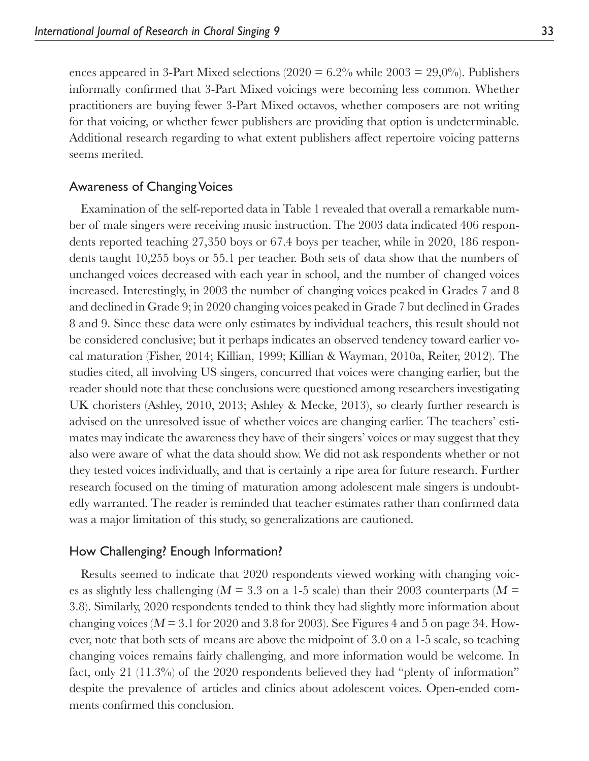ences appeared in 3-Part Mixed selections (2020 =  $6.2\%$  while 2003 =  $29.0\%$ ). Publishers informally confirmed that 3-Part Mixed voicings were becoming less common. Whether practitioners are buying fewer 3-Part Mixed octavos, whether composers are not writing for that voicing, or whether fewer publishers are providing that option is undeterminable. Additional research regarding to what extent publishers affect repertoire voicing patterns seems merited.

#### Awareness of Changing Voices

Examination of the self-reported data in Table 1 revealed that overall a remarkable number of male singers were receiving music instruction. The 2003 data indicated 406 respondents reported teaching 27,350 boys or 67.4 boys per teacher, while in 2020, 186 respondents taught 10,255 boys or 55.1 per teacher. Both sets of data show that the numbers of unchanged voices decreased with each year in school, and the number of changed voices increased. Interestingly, in 2003 the number of changing voices peaked in Grades 7 and 8 and declined in Grade 9; in 2020 changing voices peaked in Grade 7 but declined in Grades 8 and 9. Since these data were only estimates by individual teachers, this result should not be considered conclusive; but it perhaps indicates an observed tendency toward earlier vocal maturation (Fisher, 2014; Killian, 1999; Killian & Wayman, 2010a, Reiter, 2012). The studies cited, all involving US singers, concurred that voices were changing earlier, but the reader should note that these conclusions were questioned among researchers investigating UK choristers (Ashley, 2010, 2013; Ashley & Mecke, 2013), so clearly further research is advised on the unresolved issue of whether voices are changing earlier. The teachers' estimates may indicate the awareness they have of their singers' voices or may suggest that they also were aware of what the data should show. We did not ask respondents whether or not they tested voices individually, and that is certainly a ripe area for future research. Further research focused on the timing of maturation among adolescent male singers is undoubtedly warranted. The reader is reminded that teacher estimates rather than confirmed data was a major limitation of this study, so generalizations are cautioned.

#### How Challenging? Enough Information?

Results seemed to indicate that 2020 respondents viewed working with changing voices as slightly less challenging ( $M = 3.3$  on a 1-5 scale) than their 2003 counterparts ( $M =$ 3.8). Similarly, 2020 respondents tended to think they had slightly more information about changing voices ( $M = 3.1$  for 2020 and 3.8 for 2003). See Figures 4 and 5 on page 34. However, note that both sets of means are above the midpoint of 3.0 on a 1-5 scale, so teaching changing voices remains fairly challenging, and more information would be welcome. In fact, only 21 (11.3%) of the 2020 respondents believed they had "plenty of information" despite the prevalence of articles and clinics about adolescent voices. Open-ended comments confirmed this conclusion.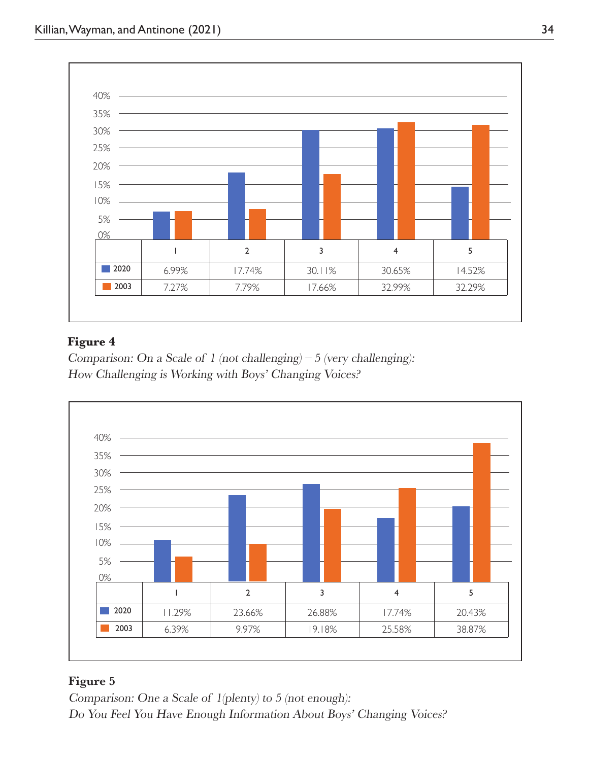

#### **Figure 4**

Comparison: On a Scale of 1 (not challenging) – 5 (very challenging): How Challenging is Working with Boys' Changing Voices?



#### **Figure 5**

Comparison: One a Scale of 1(plenty) to 5 (not enough): Do You Feel You Have Enough Information About Boys' Changing Voices?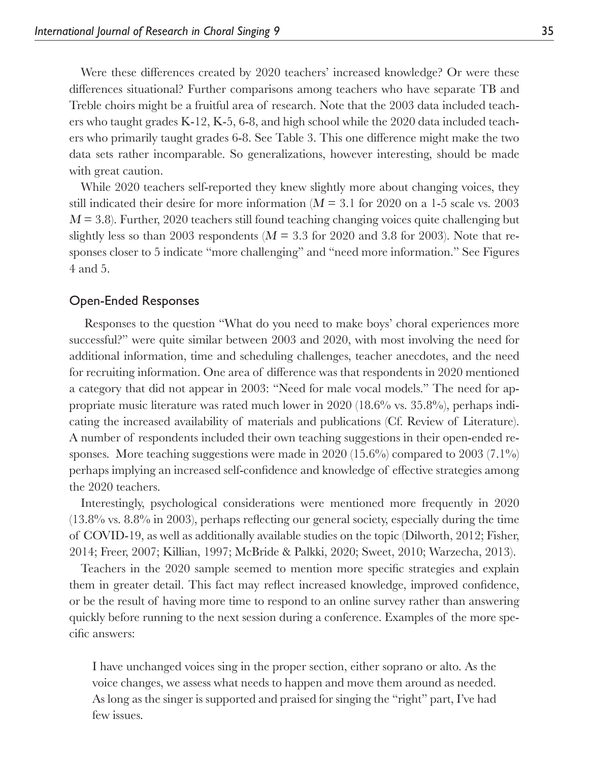Were these differences created by 2020 teachers' increased knowledge? Or were these differences situational? Further comparisons among teachers who have separate TB and Treble choirs might be a fruitful area of research. Note that the 2003 data included teachers who taught grades K-12, K-5, 6-8, and high school while the 2020 data included teachers who primarily taught grades 6-8. See Table 3. This one difference might make the two data sets rather incomparable. So generalizations, however interesting, should be made with great caution.

While 2020 teachers self-reported they knew slightly more about changing voices, they still indicated their desire for more information ( $M = 3.1$  for 2020 on a 1-5 scale vs. 2003  $M = 3.8$ ). Further, 2020 teachers still found teaching changing voices quite challenging but slightly less so than 2003 respondents ( $M = 3.3$  for 2020 and 3.8 for 2003). Note that responses closer to 5 indicate "more challenging" and "need more information." See Figures 4 and 5.

#### Open-Ended Responses

 Responses to the question "What do you need to make boys' choral experiences more successful?" were quite similar between 2003 and 2020, with most involving the need for additional information, time and scheduling challenges, teacher anecdotes, and the need for recruiting information. One area of difference was that respondents in 2020 mentioned a category that did not appear in 2003: "Need for male vocal models." The need for appropriate music literature was rated much lower in 2020 (18.6% vs. 35.8%), perhaps indicating the increased availability of materials and publications (Cf. Review of Literature). A number of respondents included their own teaching suggestions in their open-ended responses. More teaching suggestions were made in 2020 (15.6%) compared to 2003 (7.1%) perhaps implying an increased self-confidence and knowledge of effective strategies among the 2020 teachers.

Interestingly, psychological considerations were mentioned more frequently in 2020  $(13.8\%$  vs.  $8.8\%$  in 2003), perhaps reflecting our general society, especially during the time of COVID-19, as well as additionally available studies on the topic (Dilworth, 2012; Fisher, 2 014; Freer, 2007; Killian, 1997; McBride & Palkki, 2020; Sweet, 2010; Warzecha, 2013).

Teachers in the 2020 sample seemed to mention more specific strategies and explain them in greater detail. This fact may reflect increased knowledge, improved confidence, or be the result of having more time to respond to an online survey rather than answering quickly before running to the next session during a conference. Examples of the more specific answers:

I have unchanged voices sing in the proper section, either soprano or alto. As the voice changes, we assess what needs to happen and move them around as needed. As long as the singer is supported and praised for singing the "right" part, I've had few issues.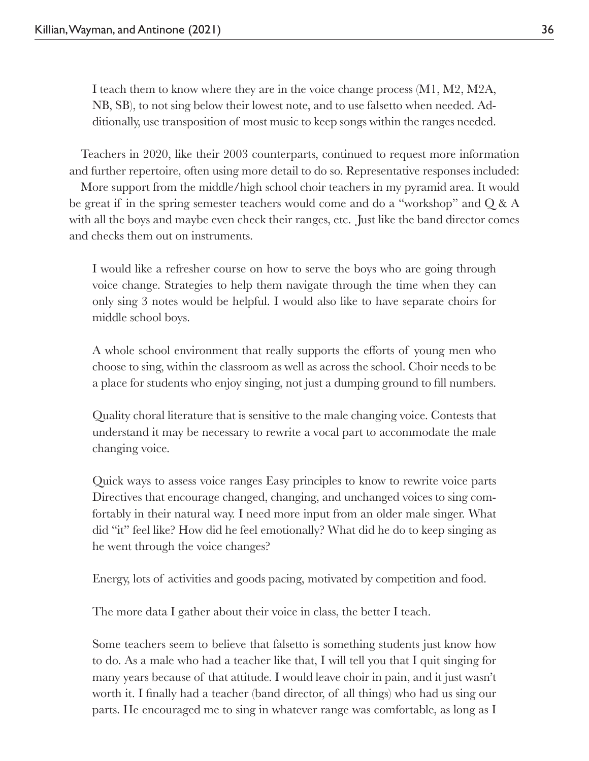I teach them to know where they are in the voice change process (M1, M2, M2A, NB, SB), to not sing below their lowest note, and to use falsetto when needed. Additionally, use transposition of most music to keep songs within the ranges needed.

Teachers in 2020, like their 2003 counterparts, continued to request more information and further repertoire, often using more detail to do so. Representative responses included:

More support from the middle/high school choir teachers in my pyramid area. It would be great if in the spring semester teachers would come and do a "workshop" and Q & A with all the boys and maybe even check their ranges, etc. Just like the band director comes and checks them out on instruments.

I would like a refresher course on how to serve the boys who are going through voice change. Strategies to help them navigate through the time when they can only sing 3 notes would be helpful. I would also like to have separate choirs for middle school boys.

A whole school environment that really supports the efforts of young men who choose to sing, within the classroom as well as across the school. Choir needs to be a place for students who enjoy singing, not just a dumping ground to fill numbers.

Quality choral literature that is sensitive to the male changing voice. Contests that understand it may be necessary to rewrite a vocal part to accommodate the male changing voice.

Quick ways to assess voice ranges Easy principles to know to rewrite voice parts Directives that encourage changed, changing, and unchanged voices to sing comfortably in their natural way. I need more input from an older male singer. What did "it" feel like? How did he feel emotionally? What did he do to keep singing as he went through the voice changes?

Energy, lots of activities and goods pacing, motivated by competition and food.

The more data I gather about their voice in class, the better I teach.

Some teachers seem to believe that falsetto is something students just know how to do. As a male who had a teacher like that, I will tell you that I quit singing for many years because of that attitude. I would leave choir in pain, and it just wasn't worth it. I finally had a teacher (band director, of all things) who had us sing our parts. He encouraged me to sing in whatever range was comfortable, as long as I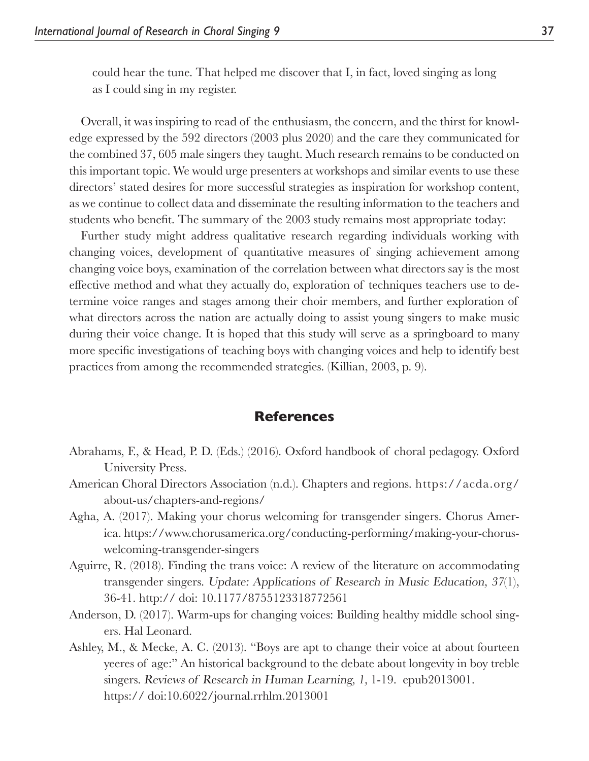could hear the tune. That helped me discover that I, in fact, loved singing as long as I could sing in my register.

Overall, it was inspiring to read of the enthusiasm, the concern, and the thirst for knowledge expressed by the 592 directors (2003 plus 2020) and the care they communicated for the combined 37, 605 male singers they taught. Much research remains to be conducted on this important topic. We would urge presenters at workshops and similar events to use these directors' stated desires for more successful strategies as inspiration for workshop content, as we continue to collect data and disseminate the resulting information to the teachers and students who benefit. The summary of the 2003 study remains most appropriate today:

Further study might address qualitative research regarding individuals working with changing voices, development of quantitative measures of singing achievement among changing voice boys, examination of the correlation between what directors say is the most effective method and what they actually do, exploration of techniques teachers use to determine voice ranges and stages among their choir members, and further exploration of what directors across the nation are actually doing to assist young singers to make music during their voice change. It is hoped that this study will serve as a springboard to many more specific investigations of teaching boys with changing voices and help to identify best practices from among the recommended strategies. (Killian, 2003, p. 9).

#### **References**

- Abrahams, F., & Head, P. D. (Eds.) (2016). Oxford handbook of choral pedagogy. Oxford University Press.
- American Choral Directors Association (n.d.). Chapters and regions. https://acda.org/ about-us/chapters-and-regions/
- Agha, A. (2017). Making your chorus welcoming for transgender singers. Chorus America. https://www.chorusamerica.org/conducting-performing/making-your-choruswelcoming-transgender-singers
- Aguirre, R. (2018). Finding the trans voice: A review of the literature on accommodating transgender singers. Update: Applications of Research in Music Education, 37(1), 36-41. http:// doi: 10.1177/8755123318772561
- Anderson, D. (2017). Warm-ups for changing voices: Building healthy middle school singers. Hal Leonard.
- Ashley, M., & Mecke, A. C. (2013). "Boys are apt to change their voice at about fourteen yeeres of age:" An historical background to the debate about longevity in boy treble singers. Reviews of Research in Human Learning, 1, 1-19. epub2013001. https:// doi:10.6022/journal.rrhlm.2013001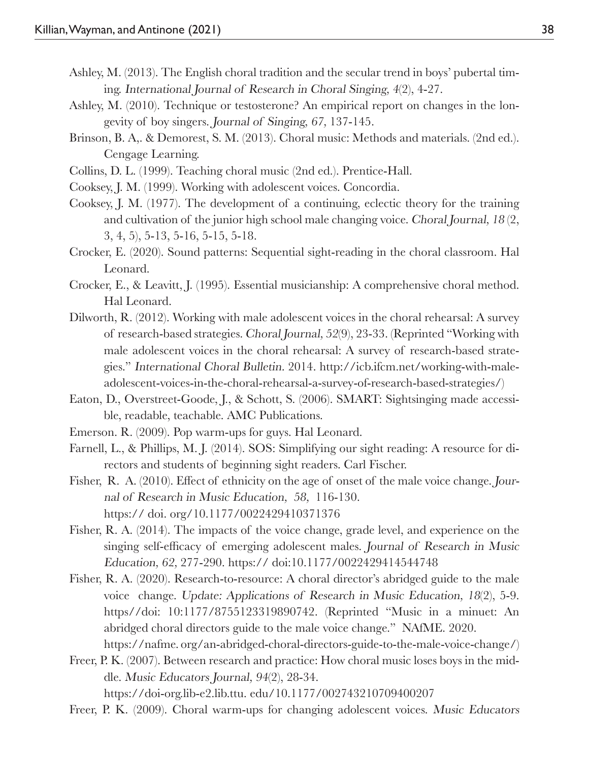- Ashley, M. (2013). The English choral tradition and the secular trend in boys' pubertal timing. International Journal of Research in Choral Singing, 4(2), 4-27.
- Ashley, M. (2010). Technique or testosterone? An empirical report on changes in the longevity of boy singers. Journal of Singing, 67, 137-145.
- Brinson, B. A,. & Demorest, S. M. (2013). Choral music: Methods and materials. (2nd ed.). Cengage Learning.
- Collins, D. L. (1999). Teaching choral music (2nd ed.). Prentice-Hall.
- Cooksey, J. M. (1999). Working with adolescent voices. Concordia.
- Cooksey, J. M. (1977). The development of a continuing, eclectic theory for the training and cultivation of the junior high school male changing voice. Choral Journal, 18 (2, 3, 4, 5), 5-13, 5-16, 5-15, 5-18.
- Crocker, E. (2020). Sound patterns: Sequential sight-reading in the choral classroom. Hal Leonard.
- Crocker, E., & Leavitt, J. (1995). Essential musicianship: A comprehensive choral method. Hal Leonard.
- Dilworth, R. (2012). Working with male adolescent voices in the choral rehearsal: A survey of research-based strategies. Choral Journal, 52(9), 23-33. (Reprinted "Working with male adolescent voices in the choral rehearsal: A survey of research-based strategies." International Choral Bulletin. 2014. http://icb.ifcm.net/working-with-maleadolescent-voices-in-the-choral-rehearsal-a-survey-of-research-based-strategies/)
- Eaton, D., Overstreet-Goode, J., & Schott, S. (2006). SMART: Sightsinging made accessible, readable, teachable. AMC Publications.
- Emerson. R. (2009). Pop warm-ups for guys. Hal Leonard.
- Farnell, L., & Phillips, M. J. (2014). SOS: Simplifying our sight reading: A resource for directors and students of beginning sight readers. Carl Fischer.
- Fisher, R. A. (2010). Effect of ethnicity on the age of onset of the male voice change. Journal of Research in Music Education, 58, 116-130. https:// doi. org/10.1177/0022429410371376
- Fisher, R. A. (2014). The impacts of the voice change, grade level, and experience on the singing self-efficacy of emerging adolescent males. Journal of Research in Music Education, 62, 277-290. https:// doi:10.1177/0022429414544748
- Fisher, R. A. (2020). Research-to-resource: A choral director's abridged guide to the male voice change. Update: Applications of Research in Music Education, 18(2), 5-9. https//doi: 10:1177/8755123319890742. (Reprinted "Music in a minuet: An abridged choral directors guide to the male voice change." NAfME. 2020. https://nafme. org/an-abridged-choral-directors-guide-to-the-male-voice-change/)
- Freer, P. K. (2007). Between research and practice: How choral music loses boys in the middle. Music Educators Journal, 94(2), 28-34. https://doi-org.lib-e2.lib.ttu. edu/10.1177/002743210709400207
- Freer, P. K. (2009). Choral warm-ups for changing adolescent voices. Music Educators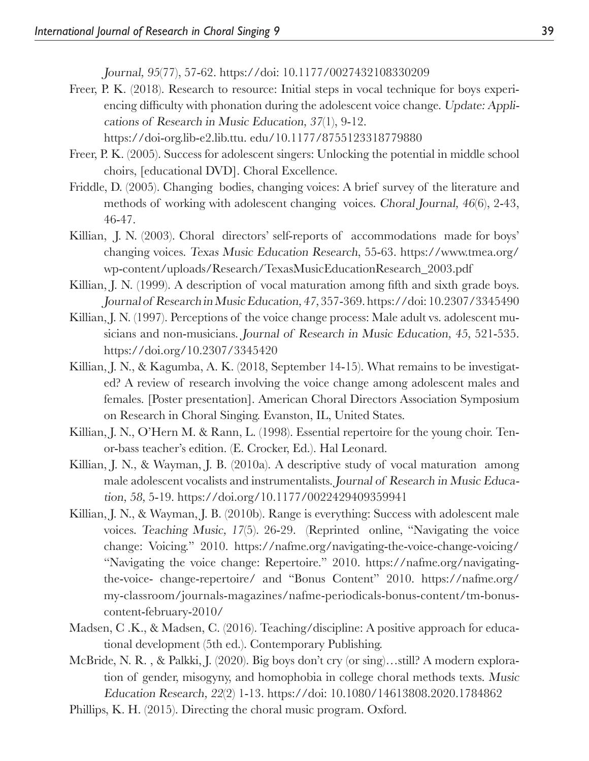Journal, 95(77), 57-62. https://doi: 10.1177/0027432108330209

Freer, P. K. (2018). Research to resource: Initial steps in vocal technique for boys experiencing difficulty with phonation during the adolescent voice change. Update: Applications of Research in Music Education, 37(1), 9-12.

https://doi-org.lib-e2.lib.ttu. edu/10.1177/8755123318779880

- Freer, P. K. (2005). Success for adolescent singers: Unlocking the potential in middle school choirs, [educational DVD]. Choral Excellence.
- Friddle, D. (2005). Changing bodies, changing voices: A brief survey of the literature and methods of working with adolescent changing voices. Choral Journal, 46(6), 2-43, 46-47.
- Killian, J. N. (2003). Choral directors' self-reports of accommodations made for boys' changing voices. Texas Music Education Research, 55-63. https://www.tmea.org/ wp-content/uploads/Research/TexasMusicEducationResearch\_2003.pdf
- Killian, J. N. (1999). A description of vocal maturation among fifth and sixth grade boys. Journal of Research in Music Education, 47, 357-369. https://doi: 10.2307/3345490
- Killian, J. N. (1997). Perceptions of the voice change process: Male adult vs. adolescent musicians and non-musicians. Journal of Research in Music Education, 45, 521-535. https://doi.org/10.2307/3345420
- Killian, J. N., & Kagumba, A. K. (2018, September 14-15). What remains to be investigated? A review of research involving the voice change among adolescent males and females. [Poster presentation]. American Choral Directors Association Symposium on Research in Choral Singing. Evanston, IL, United States.
- Killian, J. N., O'Hern M. & Rann, L. (1998). Essential repertoire for the young choir. Tenor-bass teacher's edition. (E. Crocker, Ed.). Hal Leonard.
- Killian, J. N., & Wayman, J. B. (2010a). A descriptive study of vocal maturation among male adolescent vocalists and instrumentalists. Journal of Research in Music Education, 58, 5-19. https://doi.org/10.1177/0022429409359941
- Killian, J. N., & Wayman, J. B. (2010b). Range is everything: Success with adolescent male voices. Teaching Music, 17(5). 26-29. (Reprinted online, "Navigating the voice change: Voicing." 2010. https://nafme.org/navigating-the-voice-change-voicing/ "Navigating the voice change: Repertoire." 2010. https://nafme.org/navigatingthe-voice- change-repertoire/ and "Bonus Content" 2010. https://nafme.org/ my-classroom/journals-magazines/nafme-periodicals-bonus-content/tm-bonuscontent-february-2010/
- Madsen, C .K., & Madsen, C. (2016). Teaching/discipline: A positive approach for educational development (5th ed.). Contemporary Publishing.
- McBride, N. R. , & Palkki, J. (2020). Big boys don't cry (or sing)…still? A modern exploration of gender, misogyny, and homophobia in college choral methods texts. Music Education Research, 22(2) 1-13. https://doi: 10.1080/14613808.2020.1784862
- Phillips, K. H. (2015). Directing the choral music program. Oxford.